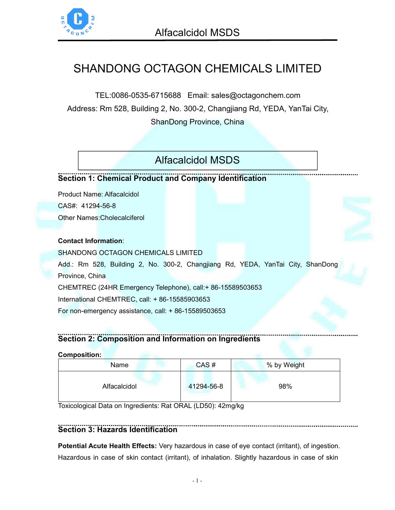

# SHANDONG OCTAGON [CHEMICALS](https://octagonchem.com/) LIMITED

TEL:0086-0535-6715688 Email: sales@octagonchem.com Address: Rm 528, Building 2, No. 300-2, Changjiang Rd, YEDA, YanTai City, ShanDong Province, China

## [Alfacalcidol](https://octagonchem.com/products/apis/alfacalcidol/) MSDS

## **Section 1: Chemical Product and Company Identification**

Product Name: Alfacalcidol CAS#: [41294-56-8](https://octagonchem.com/products/supplements/vitamin-d3/) Other Names:Cholecalciferol

### **Contact Information**:

SHANDONG OCTAGON CHEMICALS LIMITED Add.: Rm 528, Building 2, No. 300-2, Changjiang Rd, YEDA, YanTai City, ShanDong Province, China CHEMTREC (24HR Emergency Telephone), call:+ 86-15589503653 International CHEMTREC, call: + 86-15585903653 For non-emergency assistance, call: + 86-15589503653

## **Section 2: Composition and Information on Ingredients**

| <b>Name</b>  | CAS#       | % by Weight |
|--------------|------------|-------------|
| Alfacalcidol | 41294-56-8 | 98%         |

Toxicological Data on Ingredients: Rat ORAL (LD50): 42mg/kg

## **Section 3: Hazards Identification**

**Potential Acute Health Effects:** Very hazardous in case of eye contact (irritant), of ingestion. Hazardous in case of skin contact (irritant), of inhalation. Slightly hazardous in case of skin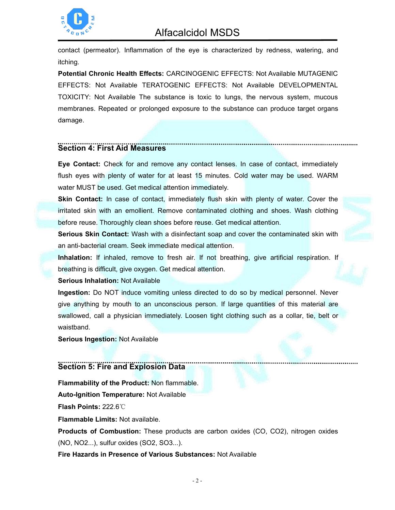

## Alfacalcidol MSDS

contact (permeator). Inflammation of the eye is characterized by redness, watering, and itching.

**Potential Chronic Health Effects:** CARCINOGENIC EFFECTS: Not Available MUTAGENIC EFFECTS: Not Available TERATOGENIC EFFECTS: Not Available DEVELOPMENTAL TOXICITY: Not Available The substance is toxic to lungs, the nervous system, mucous membranes. Repeated or prolonged exposure to the substance can produce target organs damage.

### **Section 4: First Aid Measures**

**Eye Contact:** Check for and remove any contact lenses. In case of contact, immediately flush eyes with plenty of water for at least 15 minutes. Cold water may be used. WARM water MUST be used. Get medical attention immediately.

**Skin Contact:** In case of contact, immediately flush skin with plenty of water. Cover the irritated skin with an emollient. Remove contaminated clothing and shoes. Wash clothing before reuse. Thoroughly clean shoes before reuse. Get medical attention.

**Serious Skin Contact:** Wash with a disinfectant soap and cover the contaminated skin with an anti-bacterial cream. Seek immediate medical attention.

**Inhalation:** If inhaled, remove to fresh air. If not breathing, give artificial respiration. If breathing is difficult, give oxygen. Get medical attention.

**Serious Inhalation:** Not Available

**Ingestion:** Do NOT induce vomiting unless directed to do so by medical personnel. Never give anything by mouth to an unconscious person. If large quantities of this material are swallowed, call a physician immediately. Loosen tight clothing such as a collar, tie, belt or waistband.

**Serious Ingestion:** Not Available

## **Section 5: Fire and Explosion Data**

**Flammability of the Product:** Non flammable. **Auto-Ignition Temperature:** Not Available **Flash Points:** 222.6℃

**Flammable Limits:** Not available.

**Products of Combustion:** These products are carbon oxides (CO, CO2), nitrogen oxides (NO, NO2...), sulfur oxides (SO2, SO3...).

**Fire Hazards in Presence of Various Substances:** Not Available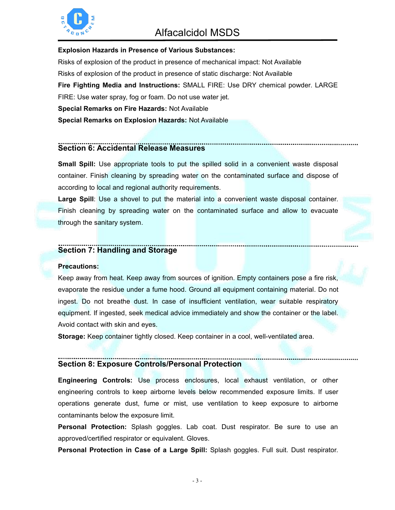

## Alfacalcidol MSDS

### **Explosion Hazards in Presence of Various Substances:**

Risks of explosion of the product in presence of mechanical impact: Not Available Risks of explosion of the product in presence of static discharge: Not Available **Fire Fighting Media and Instructions:** SMALL FIRE: Use DRY chemical powder. LARGE FIRE: Use water spray, fog or foam. Do not use water jet. **Special Remarks on Fire Hazards:** Not Available **Special Remarks on Explosion Hazards: Not Available** 

### **Section 6: Accidental Release Measures**

**Small Spill:** Use appropriate tools to put the spilled solid in a convenient waste disposal container. Finish cleaning by spreading water on the contaminated surface and dispose of according to local and regional authority requirements.

**Large Spill**: Use a shovel to put the material into a convenient waste disposal container. Finish cleaning by spreading water on the contaminated surface and allow to evacuate through the sanitary system.

## **Section 7: Handling and Storage**

#### **Precautions:**

Keep away from heat. Keep away from sources of ignition. Empty containers pose a fire risk, evaporate the residue under a fume hood. Ground all equipment containing material. Do not ingest. Do not breathe dust. In case of insufficient ventilation, wear suitable respiratory equipment. If ingested, seek medical advice immediately and show the container orthe label. Avoid contact with skin and eyes.

**Storage:** Keep container tightly closed. Keep container in a cool, well-ventilated area.

## **Section 8: Exposure Controls/Personal Protection**

**Engineering Controls:**Use process enclosures, local exhaust ventilation, or other engineering controls to keep airborne levels below recommended exposure limits. If user operations generate dust, fume or mist, use ventilation to keep exposure to airborne contaminants below the exposure limit.

**Personal Protection:** Splash goggles. Lab coat. Dust respirator. Be sure to use an approved/certified respirator or equivalent. Gloves.

**Personal Protection in Case of a Large Spill:** Splash goggles. Full suit. Dust respirator.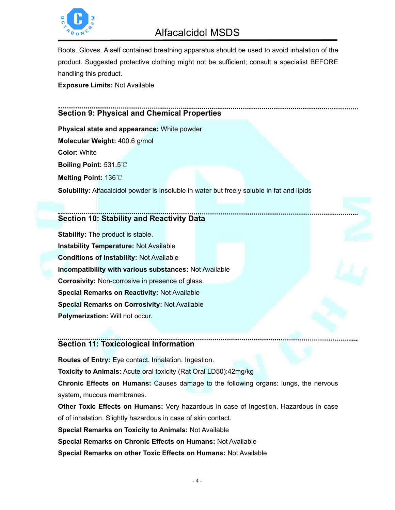

## Alfacalcidol MSDS

Boots. Gloves. A self contained breathing apparatus should be used to avoid inhalation of the product. Suggested protective clothing might not be sufficient; consult a specialist BEFORE handling this product.

**Exposure Limits:** Not Available

## **Section 9: Physical and Chemical Properties**

**Physical state and appearance:** White powder **Molecular Weight:** 400.6 g/mol **Color**: White **Boiling Point:** 531.5℃ **Melting Point:** 136℃ **Solubility:** Alfacalcidol powder is insoluble in water but freely soluble in fat and lipids

## **Section 10: Stability and Reactivity Data**

**Stability:** The product is stable. **Instability Temperature:** Not Available **Conditions of Instability:** Not Available **Incompatibility with various substances:** Not Available **Corrosivity:** Non-corrosive in presence of glass. **Special Remarks on Reactivity:** Not Available **Special Remarks on Corrosivity:** Not Available **Polymerization:** Will not occur.

## **Section 11: Toxicological Information**

**Routes of Entry:** Eye contact. Inhalation. Ingestion. **Toxicity to Animals:** Acute oral toxicity (Rat Oral LD50):42mg/kg **Chronic Effects on Humans:** Causes damage to the following organs: lungs, the nervous system, mucous membranes.

**Other Toxic Effects on Humans:** Very hazardous in case of Ingestion. Hazardous in case of of inhalation. Slightly hazardous in case of skin contact. **Special Remarks on Toxicity to Animals: Not Available Special Remarks on Chronic Effects on Humans:** Not Available **Special Remarks on other Toxic Effects on Humans:** Not Available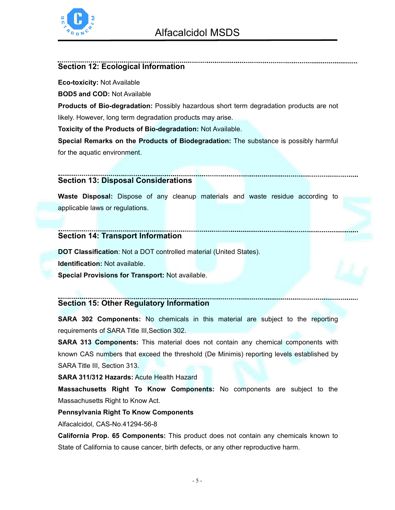

### **Section 12: Ecological Information**

**Eco-toxicity:** Not Available

**BOD5 and COD:** Not Available

**Products of Bio-degradation:** Possibly hazardous short term degradation products are not likely. However, long term degradation products may arise.

**Toxicity of the Products of Bio-degradation:** Not Available.

**Special Remarks on the Products of Biodegradation:** The substance is possibly harmful for the aquatic environment.

## **Section 13: Disposal Considerations**

**Waste Disposal:** Dispose of any cleanup materials and waste residue according to applicable laws or regulations.

#### **Section 14: Transport Information**

**DOT Classification**: Not a DOT controlled material (United States). **Identification:** Not available. **Special Provisions for Transport:** Not available.

## **Section 15: Other Regulatory Information**

**SARA 302 Components:** No chemicals in this material are subject to the reporting requirements of SARA Title III,Section 302.

**SARA 313 Components:** This material does not contain any chemical components with known CAS numbers that exceed the threshold (De Minimis) reporting levels established by SARA Title III, Section 313.

**SARA 311/312 Hazards:** Acute Health Hazard

**Massachusetts Right To Know Components:** No components are subject to the Massachusetts Right to Know Act.

### **Pennsylvania Right To Know Components**

Alfacalcidol, CAS-No.41294-56-8

**California Prop. 65 Components:** This product does not contain any chemicals known to State of California to cause cancer, birth defects, or any other reproductive harm.